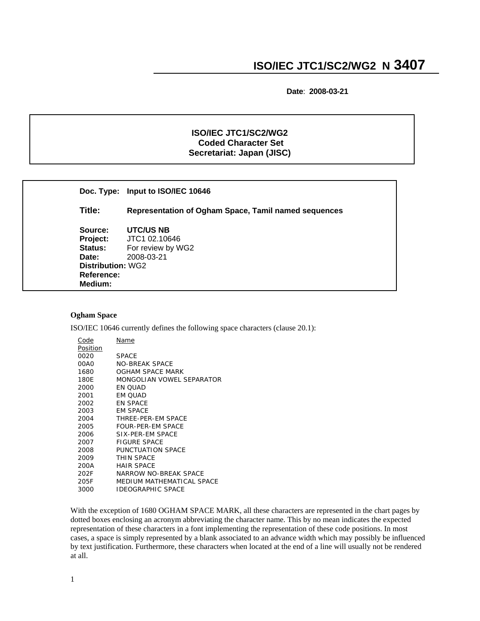**Date**: **2008-03-21**

## **ISO/IEC JTC1/SC2/WG2 Coded Character Set Secretariat: Japan (JISC)**

|                          | Doc. Type: Input to ISO/IEC 10646                    |
|--------------------------|------------------------------------------------------|
| Title:                   | Representation of Ogham Space, Tamil named sequences |
| Source:                  | UTC/US NB                                            |
| Project:                 | JTC1 02.10646                                        |
| <b>Status:</b>           | For review by WG2                                    |
| Date:                    | 2008-03-21                                           |
| <b>Distribution: WG2</b> |                                                      |
| Reference:               |                                                      |
| Medium:                  |                                                      |

## **Ogham Space**

٦

ISO/IEC 10646 currently defines the following space characters (clause 20.1):

| Name                      |
|---------------------------|
|                           |
| <b>SPACE</b>              |
| NO-BREAK SPACE            |
| OGHAM SPACE MARK          |
| MONGOLIAN VOWEL SEPARATOR |
| EN OUAD                   |
| EM OUAD                   |
| EN SPACE                  |
| EM SPACE                  |
| THREE-PER-EM SPACE        |
| FOUR-PER-EM SPACE         |
| SIX-PER-EM SPACE          |
| FIGURE SPACE              |
| PUNCTUATION SPACE         |
| THIN SPACE                |
| <b>HAIR SPACE</b>         |
| NARROW NO-BREAK SPACE     |
| MEDIUM MATHEMATICAL SPACE |
| IDEOGRAPHIC SPACE         |
|                           |

With the exception of 1680 OGHAM SPACE MARK, all these characters are represented in the chart pages by dotted boxes enclosing an acronym abbreviating the character name. This by no mean indicates the expected representation of these characters in a font implementing the representation of these code positions. In most cases, a space is simply represented by a blank associated to an advance width which may possibly be influenced by text justification. Furthermore, these characters when located at the end of a line will usually not be rendered at all.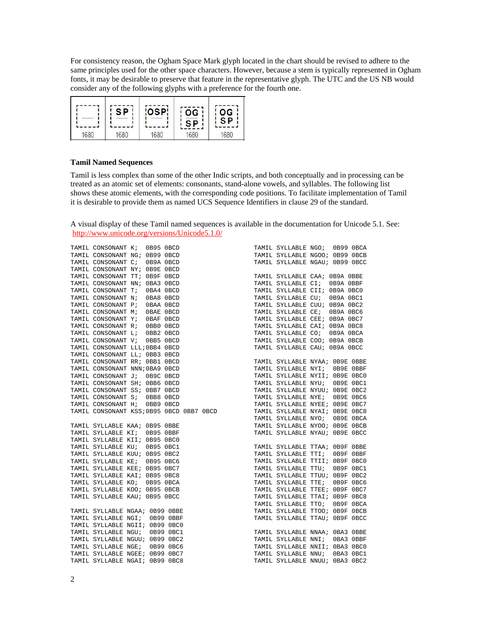For consistency reason, the Ogham Space Mark glyph located in the chart should be revised to adhere to the same principles used for the other space characters. However, because a stem is typically represented in Ogham fonts, it may be desirable to preserve that feature in the representative glyph. The UTC and the US NB would consider any of the following glyphs with a preference for the fourth one.



## **Tamil Named Sequences**

Tamil is less complex than some of the other Indic scripts, and both conceptually and in processing can be treated as an atomic set of elements: consonants, stand-alone vowels, and syllables. The following list shows these atomic elements, with the corresponding code positions. To facilitate implementation of Tamil it is desirable to provide them as named UCS Sequence Identifiers in clause 29 of the standard.

A visual display of these Tamil named sequences is available in the documentation for Unicode 5.1. See: <http://www.unicode.org/versions/Unicode5.1.0/>

| TAMIL CONSONANT K;             | 0B95 OBCD |           |  |  | TAMIL SYLLABLE NGO; 0B99 OBCA                                                                                                                                                                                                                       |           |  |
|--------------------------------|-----------|-----------|--|--|-----------------------------------------------------------------------------------------------------------------------------------------------------------------------------------------------------------------------------------------------------|-----------|--|
| TAMIL CONSONANT NG; 0B99 OBCD  |           |           |  |  | TAMIL SYLLABLE NGOO; 0B99 OBCB                                                                                                                                                                                                                      |           |  |
| TAMIL CONSONANT C;             | 0B9A 0BCD |           |  |  | TAMIL SYLLABLE NGAU; 0B99 OBCC                                                                                                                                                                                                                      |           |  |
| TAMIL CONSONANT NY; 0B9E 0BCD  |           |           |  |  |                                                                                                                                                                                                                                                     |           |  |
| TAMIL CONSONANT TT; OB9F OBCD  |           |           |  |  | TAMIL SYLLABLE CAA; 0B9A OBBE                                                                                                                                                                                                                       |           |  |
| TAMIL CONSONANT NN; 0BA3 0BCD  |           |           |  |  | TAMIL SYLLABLE CI;                                                                                                                                                                                                                                  | 0B9A OBBF |  |
| TAMIL CONSONANT T; 0BA4 0BCD   |           |           |  |  | TAMIL SYLLABLE CII; 0B9A 0BC0                                                                                                                                                                                                                       |           |  |
| TAMIL CONSONANT N;             | 0BA8 0BCD |           |  |  | TAMIL SYLLABLE CU; 0B9A 0BC1                                                                                                                                                                                                                        |           |  |
| TAMIL CONSONANT P; OBAA OBCD   |           |           |  |  | TAMIL SYLLABLE CUU; 0B9A 0BC2                                                                                                                                                                                                                       |           |  |
| TAMIL CONSONANT M; OBAE OBCD   |           |           |  |  | TAMIL SYLLABLE CE; 0B9A 0BC6                                                                                                                                                                                                                        |           |  |
| TAMIL CONSONANT Y; OBAF OBCD   |           |           |  |  | TAMIL SYLLABLE CEE; 0B9A 0BC7                                                                                                                                                                                                                       |           |  |
| TAMIL CONSONANT R; 0BB0 0BCD   |           |           |  |  | TAMIL SYLLABLE CAI; 0B9A 0BC8                                                                                                                                                                                                                       |           |  |
| TAMIL CONSONANT L; 0BB2 0BCD   |           |           |  |  | TAMIL SYLLABLE CO; 0B9A OBCA                                                                                                                                                                                                                        |           |  |
| TAMIL CONSONANT V; 0BB5 0BCD   |           |           |  |  | TAMIL SYLLABLE COO; OB9A OBCB                                                                                                                                                                                                                       |           |  |
| TAMIL CONSONANT LLL; 0BB4 0BCD |           |           |  |  | TAMIL SYLLABLE CAU; 0B9A 0BCC                                                                                                                                                                                                                       |           |  |
|                                |           |           |  |  |                                                                                                                                                                                                                                                     |           |  |
|                                |           |           |  |  |                                                                                                                                                                                                                                                     |           |  |
|                                |           |           |  |  |                                                                                                                                                                                                                                                     |           |  |
|                                |           |           |  |  |                                                                                                                                                                                                                                                     |           |  |
|                                |           |           |  |  |                                                                                                                                                                                                                                                     |           |  |
|                                |           |           |  |  |                                                                                                                                                                                                                                                     |           |  |
|                                |           |           |  |  |                                                                                                                                                                                                                                                     |           |  |
|                                |           |           |  |  |                                                                                                                                                                                                                                                     |           |  |
|                                |           |           |  |  |                                                                                                                                                                                                                                                     |           |  |
|                                |           |           |  |  |                                                                                                                                                                                                                                                     |           |  |
| TAMIL SYLLABLE KAA; 0B95 OBBE  |           |           |  |  | TAMIL SYLLABLE NYOO; OB9E OBCB                                                                                                                                                                                                                      |           |  |
| TAMIL SYLLABLE KI; 0B95 OBBF   |           |           |  |  | TAMIL SYLLABLE NYAU; 0B9E OBCC                                                                                                                                                                                                                      |           |  |
| TAMIL SYLLABLE KII; 0B95 0BC0  |           |           |  |  | TAMIL SYLLABLE TTAA; OB9F OBBE<br>TAMIL SYLLABLE TTI; OB9F OBBF<br>TAMIL SYLLABLE TTII; OB9F OBCO<br>TAMIL SYLLABLE TTU; OB9F OBC1<br>TAMIL SYLLABLE TTUU; OB9F OBC2<br>TAMIL SYLLABLE TTE; OB9F OBC6<br>TAMIL SYLLABLE TTEE; OB9F OBC6<br>TAMIL SY |           |  |
| TAMIL SYLLABLE KU; 0B95 0BC1   |           |           |  |  |                                                                                                                                                                                                                                                     |           |  |
| TAMIL SYLLABLE KUU; 0B95 0BC2  |           |           |  |  |                                                                                                                                                                                                                                                     |           |  |
| TAMIL SYLLABLE KE; 0B95 0BC6   |           |           |  |  |                                                                                                                                                                                                                                                     |           |  |
| TAMIL SYLLABLE KEE; 0B95 0BC7  |           |           |  |  |                                                                                                                                                                                                                                                     |           |  |
| TAMIL SYLLABLE KAI; 0B95 0BC8  |           |           |  |  |                                                                                                                                                                                                                                                     |           |  |
| TAMIL SYLLABLE KO; 0B95 OBCA   |           |           |  |  |                                                                                                                                                                                                                                                     |           |  |
| TAMIL SYLLABLE KOO; 0B95 OBCB  |           |           |  |  |                                                                                                                                                                                                                                                     |           |  |
| TAMIL SYLLABLE KAU; 0B95 OBCC  |           |           |  |  |                                                                                                                                                                                                                                                     |           |  |
|                                |           |           |  |  | TAMIL SYLLABLE TTO;                                                                                                                                                                                                                                 | OB9F OBCA |  |
| TAMIL SYLLABLE NGAA; 0B99 OBBE |           |           |  |  | TAMIL SYLLABLE TTOO; OB9F OBCB                                                                                                                                                                                                                      |           |  |
| TAMIL SYLLABLE NGI; 0B99 OBBF  |           |           |  |  | TAMIL SYLLABLE TTAU; OB9F OBCC                                                                                                                                                                                                                      |           |  |
| TAMIL SYLLABLE NGII; 0B99 0BC0 |           |           |  |  |                                                                                                                                                                                                                                                     |           |  |
| TAMIL SYLLABLE NGU; 0B99 0BC1  |           |           |  |  | TAMIL SYLLABLE NNAA;<br>TAMIL SYLLABLE NNI;<br>TAMIL SYLLABLE NNII;<br>TAMIL SYLLABLE NNU;<br>TAMIL SYLLABLE NNU;<br>TAMIL SYLLABLE NNAA; OBA3 OBBE                                                                                                 |           |  |
| TAMIL SYLLABLE NGUU; 0B99 0BC2 |           |           |  |  |                                                                                                                                                                                                                                                     | OBA3 OBBF |  |
| TAMIL SYLLABLE NGE;            |           | 0B99 0BC6 |  |  | TAMIL SYLLABLE NNII; 0BA3 0BC0                                                                                                                                                                                                                      |           |  |
| TAMIL SYLLABLE NGEE; 0B99 0BC7 |           |           |  |  |                                                                                                                                                                                                                                                     | 0BA3 0BC1 |  |
| TAMIL SYLLABLE NGAI; 0B99 0BC8 |           |           |  |  | TAMIL SYLLABLE NNUU; 0BA3 0BC2                                                                                                                                                                                                                      |           |  |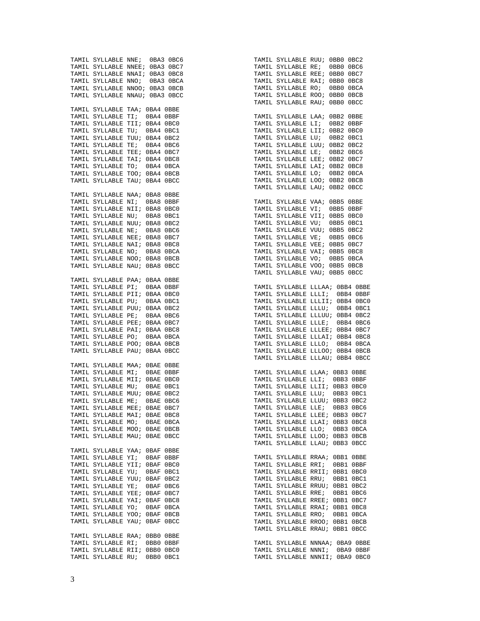TAMIL SYLLABLE NNE; 0BA3 0BC6 TAMIL SYLLABLE NNEE; 0BA3 0BC7 TAMIL SYLLABLE NNAI; 0BA3 0BC8 TAMIL SYLLABLE NNO; 0BA3 0BCA TAMIL SYLLABLE NNOO; 0BA3 0BCB TAMIL SYLLABLE NNAU; 0BA3 0BCC TAMIL SYLLABLE TAA; 0BA4 0BBE TAMIL SYLLABLE TI; 0BA4 0BBF TAMIL SYLLABLE TII; 0BA4 0BC0 TAMIL SYLLABLE TU; 0BA4 0BC1 TAMIL SYLLABLE TUU; 0BA4 0BC2 TAMIL SYLLABLE TE; 0BA4 0BC6 TAMIL SYLLABLE TEE; 0BA4 0BC7 TAMIL SYLLABLE TAI; 0BA4 0BC8 TAMIL SYLLABLE TO; 0BA4 0BCA TAMIL SYLLABLE TOO; 0BA4 0BCB TAMIL SYLLABLE TAU; 0BA4 0BCC TAMIL SYLLABLE NAA; 0BA8 0BBE TAMIL SYLLABLE NI; 0BA8 0BBF TAMIL SYLLABLE NII; 0BA8 0BC0 TAMIL SYLLABLE NU; 0BA8 0BC1 TAMIL SYLLABLE NUU; 0BA8 0BC2 TAMIL SYLLABLE NE; 0BA8 0BC6 TAMIL SYLLABLE NEE; 0BA8 0BC7 TAMIL SYLLABLE NAI; 0BA8 0BC8 TAMIL SYLLABLE NO; 0BA8 0BCA TAMIL SYLLABLE NOO; 0BA8 0BCB TAMIL SYLLABLE NAU; 0BA8 0BCC TAMIL SYLLABLE PAA; 0BAA 0BBE TAMIL SYLLABLE PI; 0BAA 0BBF TAMIL SYLLABLE PII; 0BAA 0BC0 TAMIL SYLLABLE PU; 0BAA 0BC1 TAMIL SYLLABLE PUU; 0BAA 0BC2 TAMIL SYLLABLE PE; 0BAA 0BC6 TAMIL SYLLABLE PEE; 0BAA 0BC7 TAMIL SYLLABLE PAI; 0BAA 0BC8 TAMIL SYLLABLE PO; 0BAA 0BCA TAMIL SYLLABLE POO; 0BAA 0BCB TAMIL SYLLABLE PAU; 0BAA 0BCC TAMIL SYLLABLE MAA; 0BAE 0BBE TAMIL SYLLABLE MI; 0BAE 0BBF TAMIL SYLLABLE MIT; OBAE OBCO TAMIL SYLLABLE MU; 0BAE 0BC1 TAMIL SYLLABLE MUU; 0BAE 0BC2 TAMIL SYLLABLE ME; 0BAE 0BC6 TAMIL SYLLABLE MEE; 0BAE 0BC7 TAMIL SYLLABLE MAI; 0BAE 0BC8 TAMIL SYLLABLE MO; 0BAE 0BCA TAMIL SYLLABLE MOO; 0BAE 0BCB TAMIL SYLLABLE MAU; 0BAE 0BCC TAMIL SYLLABLE YAA; 0BAF 0BBE TAMIL SYLLABLE YI; 0BAF 0BBF TAMIL SYLLABLE YII; 0BAF 0BC0 TAMIL SYLLABLE YU; 0BAF 0BC1 TAMIL SYLLABLE YUU; OBAF OBC2 TAMIL SYLLABLE YE; 0BAF 0BC6 TAMIL SYLLABLE YEE; 0BAF 0BC7 TAMIL SYLLABLE YAI; 0BAF 0BC8 TAMIL SYLLABLE YO; 0BAF 0BCA TAMIL SYLLABLE YOO; 0BAF 0BCB TAMIL SYLLABLE YAU; 0BAF 0BCC TAMIL SYLLABLE RAA; 0BB0 0BBE TAMIL SYLLABLE RI; 0BB0 0BBF TAMIL SYLLABLE RII; 0BB0 0BC0 TAMIL SYLLABLE RU; 0BB0 0BC1

TAMIL SYLLABLE RUU; 0BB0 0BC2 TAMIL SYLLABLE RE; 0BB0 0BC6 TAMIL SYLLABLE REE; 0BB0 0BC7 TAMIL SYLLABLE RAI; 0BB0 0BC8 TAMIL SYLLABLE RO; 0BB0 0BCA TAMIL SYLLABLE ROO; 0BB0 0BCB TAMIL SYLLABLE RAIL: OBBO OBCC TAMIL SYLLABLE LAA; 0BB2 0BBE TAMIL SYLLABLE LI; 0BB2 0BBF TAMIL SYLLABLE LII; 0BB2 0BC0 TAMIL SYLLABLE LU; 0BB2 0BC1 TAMIL SYLLABLE LUU; 0BB2 0BC2 TAMIL SYLLABLE LE; 0BB2 0BC6 TAMIL SYLLABLE LEE; 0BB2 0BC7 TAMIL SYLLABLE LAI; OBB2 OBC8 TAMIL SYLLABLE LO; 0BB2 0BCA TAMIL SYLLABLE LOO; 0BB2 0BCB TAMIL SYLLABLE LAU; 0BB2 0BCC TAMIL SYLLABLE VAA; 0BB5 0BBE TAMIL SYLLABLE VI; 0BB5 0BBF TAMIL SYLLABLE VII; 0BB5 0BC0 TAMIL SYLLABLE VU; 0BB5 0BC1 TAMIL SYLLABLE VUU; 0BB5 0BC2 TAMIL SYLLABLE VE; 0BB5 0BC6 TAMIL SYLLABLE VEE; 0BB5 0BC7 TAMIL SYLLABLE VAI; 0BB5 0BC8 TAMIL SYLLABLE VO; 0BB5 0BCA TAMIL SYLLABLE VOO; 0BB5 0BCB TAMIL SYLLABLE VAU; 0BB5 0BCC TAMIL SYLLABLE LLLAA; 0BB4 0BBE TAMIL SYLLABLE LLLI; 0BB4 0BBF TAMIL SYLLABLE LLLII; 0BB4 0BC0 TAMIL SYLLABLE LLLU; 0BB4 0BC1 TAMIL SYLLABLE LLLUU; 0BB4 0BC2 TAMIL SYLLABLE LLLE; 0BB4 0BC6 TAMIL SYLLABLE LLLEE; 0BB4 0BC7 TAMIL SYLLABLE LLLAI; 0BB4 0BC8 TAMIL SYLLABLE LLLO; 0BB4 0BCA TAMIL SYLLABLE LLLOO; 0BB4 0BCB TAMIL SYLLABLE LLLAU; 0BB4 0BCC TAMIL SYLLABLE LLAA; 0BB3 0BBE TAMIL SYLLABLE LLI; 0BB3 0BBF TAMIL SYLLABLE LLII; 0BB3 0BC0 TAMIL SYLLABLE LLU; 0BB3 0BC1 TAMIL SYLLABLE LLUU; 0BB3 0BC2 TAMIL SYLLABLE LLE; 0BB3 0BC6 TAMIL SYLLABLE LLEE; 0BB3 0BC7 TAMIL SYLLABLE LLAI; 0BB3 0BC8 TAMIL SYLLABLE LLO; 0BB3 0BCA TAMIL SYLLABLE LLOO; 0BB3 0BCB TAMIL SYLLABLE LLAU; 0BB3 0BCC TAMIL SYLLABLE RRAA; 0BB1 0BBE TAMIL SYLLABLE RRI; 0BB1 0BBF TAMIL SYLLABLE RRII; 0BB1 0BC0 TAMIL SYLLABLE RRU; 0BB1 0BC1 TAMIL SYLLABLE RRUU; 0BB1 0BC2 TAMIL SYLLABLE RRE; 0BB1 0BC6 TAMIL SYLLABLE RREE; 0BB1 0BC7 TAMIL SYLLABLE RRAI; 0BB1 0BC8 TAMIL SYLLABLE RRO; 0BB1 0BCA TAMIL SYLLABLE RROO; 0BB1 0BCB TAMIL SYLLABLE RRAU; 0BB1 0BCC TAMIL SYLLABLE NNNAA; 0BA9 0BBE TAMIL SYLLABLE NNNI; 0BA9 0BBF TAMIL SYLLABLE NNNII; 0BA9 0BC0